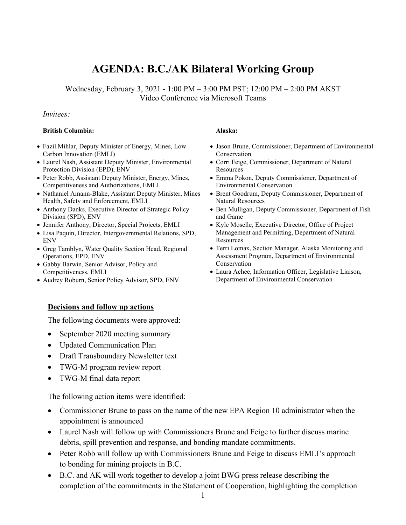# **AGENDA: B.C./AK Bilateral Working Group**

Wednesday, February 3, 2021 - 1:00 PM – 3:00 PM PST; 12:00 PM – 2:00 PM AKST Video Conference via Microsoft Teams

#### *Invitees:*

#### **British Columbia: Alaska:**

- Fazil Mihlar, Deputy Minister of Energy, Mines, Low Carbon Innovation (EMLI)
- Laurel Nash, Assistant Deputy Minister, Environmental Protection Division (EPD), ENV
- Peter Robb, Assistant Deputy Minister, Energy, Mines, Competitiveness and Authorizations, EMLI
- Nathaniel Amann-Blake, Assistant Deputy Minister, Mines Health, Safety and Enforcement, EMLI
- Anthony Danks, Executive Director of Strategic Policy Division (SPD), ENV
- Jennifer Anthony, Director, Special Projects, EMLI
- Lisa Paquin, Director, Intergovernmental Relations, SPD, ENV
- Greg Tamblyn, Water Quality Section Head, Regional Operations, EPD, ENV
- Gabby Barwin, Senior Advisor, Policy and Competitiveness, EMLI
- Audrey Roburn, Senior Policy Advisor, SPD, ENV

#### **Decisions and follow up actions**

The following documents were approved:

- September 2020 meeting summary
- Updated Communication Plan
- Draft Transboundary Newsletter text
- TWG-M program review report
- TWG-M final data report

The following action items were identified:

- Commissioner Brune to pass on the name of the new EPA Region 10 administrator when the appointment is announced
- Laurel Nash will follow up with Commissioners Brune and Feige to further discuss marine debris, spill prevention and response, and bonding mandate commitments.
- Peter Robb will follow up with Commissioners Brune and Feige to discuss EMLI's approach to bonding for mining projects in B.C.
- B.C. and AK will work together to develop a joint BWG press release describing the completion of the commitments in the Statement of Cooperation, highlighting the completion

- Jason Brune, Commissioner, Department of Environmental Conservation
- Corri Feige, Commissioner, Department of Natural **Resources**
- Emma Pokon, Deputy Commissioner, Department of Environmental Conservation
- Brent Goodrum, Deputy Commissioner, Department of Natural Resources
- Ben Mulligan, Deputy Commissioner, Department of Fish and Game
- Kyle Moselle, Executive Director, Office of Project Management and Permitting, Department of Natural **Resources**
- Terri Lomax, Section Manager, Alaska Monitoring and Assessment Program, Department of Environmental Conservation
- Laura Achee, Information Officer, Legislative Liaison, Department of Environmental Conservation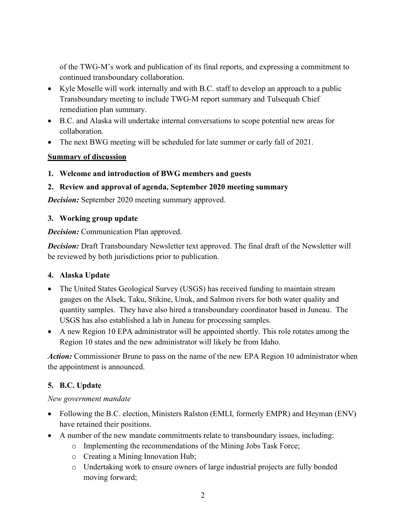of the TWG-M's work and publication of its final reports, and expressing a commitment to continued transboundary collaboration.

- Kyle Moselle will work internally and with B.C. staff to develop an approach to a public Transboundary meeting to include TWG-M report summary and Tulsequah Chief remediation plan summary.
- B.C. and Alaska will undertake internal conversations to scope potential new areas for collaboration.
- The next BWG meeting will be scheduled for late summer or early fall of 2021.

#### **Summary of discussion**

**1. Welcome and introduction of BWG members and guests**

## **2. Review and approval of agenda, September 2020 meeting summary**

*Decision:* September 2020 meeting summary approved.

#### **3. Working group update**

*Decision:* Communication Plan approved.

**Decision:** Draft Transboundary Newsletter text approved. The final draft of the Newsletter will be reviewed by both jurisdictions prior to publication.

## **4. Alaska Update**

- The United States Geological Survey (USGS) has received funding to maintain stream gauges on the Alsek, Taku, Stikine, Unuk, and Salmon rivers for both water quality and quantity samples. They have also hired a transboundary coordinator based in Juneau. The USGS has also established a lab in Juneau for processing samples.
- A new Region 10 EPA administrator will be appointed shortly. This role rotates among the Region 10 states and the new administrator will likely be from Idaho.

*Action:* Commissioner Brune to pass on the name of the new EPA Region 10 administrator when the appointment is announced.

## **5. B.C. Update**

*New government mandate*

- Following the B.C. election, Ministers Ralston (EMLI, formerly EMPR) and Heyman (ENV) have retained their positions.
- A number of the new mandate commitments relate to transboundary issues, including:
	- o Implementing the recommendations of the Mining Jobs Task Force;
	- o Creating a Mining Innovation Hub;
	- o Undertaking work to ensure owners of large industrial projects are fully bonded moving forward;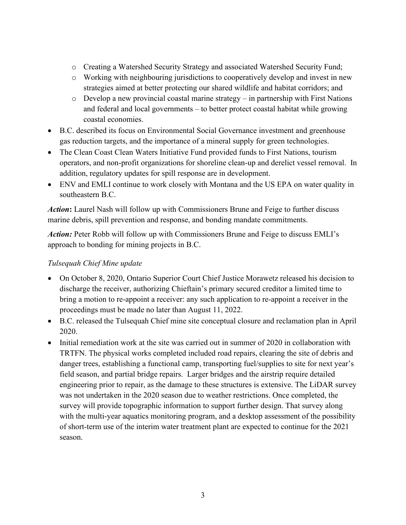- o Creating a Watershed Security Strategy and associated Watershed Security Fund;
- o Working with neighbouring jurisdictions to cooperatively develop and invest in new strategies aimed at better protecting our shared wildlife and habitat corridors; and
- o Develop a new provincial coastal marine strategy in partnership with First Nations and federal and local governments – to better protect coastal habitat while growing coastal economies.
- B.C. described its focus on Environmental Social Governance investment and greenhouse gas reduction targets, and the importance of a mineral supply for green technologies.
- The Clean Coast Clean Waters Initiative Fund provided funds to First Nations, tourism operators, and non-profit organizations for shoreline clean-up and derelict vessel removal. In addition, regulatory updates for spill response are in development.
- ENV and EMLI continue to work closely with Montana and the US EPA on water quality in southeastern B.C.

*Action***:** Laurel Nash will follow up with Commissioners Brune and Feige to further discuss marine debris, spill prevention and response, and bonding mandate commitments.

*Action:* Peter Robb will follow up with Commissioners Brune and Feige to discuss EMLI's approach to bonding for mining projects in B.C.

#### *Tulsequah Chief Mine update*

- On October 8, 2020, Ontario Superior Court Chief Justice Morawetz released his decision to discharge the receiver, authorizing Chieftain's primary secured creditor a limited time to bring a motion to re-appoint a receiver: any such application to re-appoint a receiver in the proceedings must be made no later than August 11, 2022.
- B.C. released the Tulsequah Chief mine site conceptual closure and reclamation plan in April 2020.
- Initial remediation work at the site was carried out in summer of 2020 in collaboration with TRTFN. The physical works completed included road repairs, clearing the site of debris and danger trees, establishing a functional camp, transporting fuel/supplies to site for next year's field season, and partial bridge repairs. Larger bridges and the airstrip require detailed engineering prior to repair, as the damage to these structures is extensive. The LiDAR survey was not undertaken in the 2020 season due to weather restrictions. Once completed, the survey will provide topographic information to support further design. That survey along with the multi-year aquatics monitoring program, and a desktop assessment of the possibility of short-term use of the interim water treatment plant are expected to continue for the 2021 season.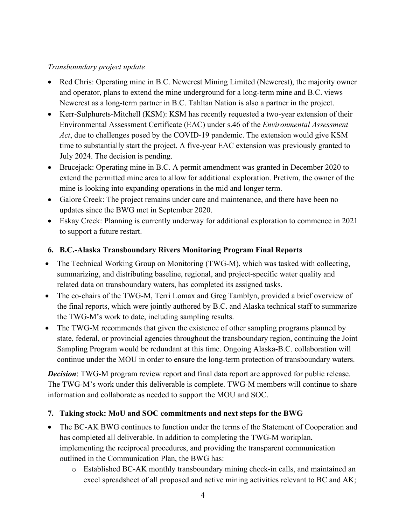## *Transboundary project update*

- Red Chris: Operating mine in B.C. Newcrest Mining Limited (Newcrest), the majority owner and operator, plans to extend the mine underground for a long-term mine and B.C. views Newcrest as a long-term partner in B.C. Tahltan Nation is also a partner in the project.
- Kerr-Sulphurets-Mitchell (KSM): KSM has recently requested a two-year extension of their Environmental Assessment Certificate (EAC) under s.46 of the *Environmental Assessment Act*, due to challenges posed by the COVID-19 pandemic. The extension would give KSM time to substantially start the project. A five-year EAC extension was previously granted to July 2024. The decision is pending.
- Brucejack: Operating mine in B.C. A permit amendment was granted in December 2020 to extend the permitted mine area to allow for additional exploration. Pretivm, the owner of the mine is looking into expanding operations in the mid and longer term.
- Galore Creek: The project remains under care and maintenance, and there have been no updates since the BWG met in September 2020.
- Eskay Creek: Planning is currently underway for additional exploration to commence in 2021 to support a future restart.

#### **6. B.C.-Alaska Transboundary Rivers Monitoring Program Final Reports**

- The Technical Working Group on Monitoring (TWG-M), which was tasked with collecting, summarizing, and distributing baseline, regional, and project-specific water quality and related data on transboundary waters, has completed its assigned tasks.
- The co-chairs of the TWG-M, Terri Lomax and Greg Tamblyn, provided a brief overview of the final reports, which were jointly authored by B.C. and Alaska technical staff to summarize the TWG-M's work to date, including sampling results.
- The TWG-M recommends that given the existence of other sampling programs planned by state, federal, or provincial agencies throughout the transboundary region, continuing the Joint Sampling Program would be redundant at this time. Ongoing Alaska-B.C. collaboration will continue under the MOU in order to ensure the long-term protection of transboundary waters.

*Decision*: TWG-M program review report and final data report are approved for public release. The TWG-M's work under this deliverable is complete. TWG-M members will continue to share information and collaborate as needed to support the MOU and SOC.

## **7. Taking stock: MoU and SOC commitments and next steps for the BWG**

- The BC-AK BWG continues to function under the terms of the Statement of Cooperation and has completed all deliverable. In addition to completing the TWG-M workplan, implementing the reciprocal procedures, and providing the transparent communication outlined in the Communication Plan, the BWG has:
	- o Established BC-AK monthly transboundary mining check-in calls, and maintained an excel spreadsheet of all proposed and active mining activities relevant to BC and AK;